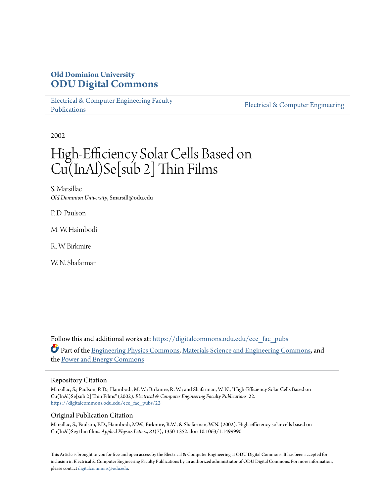# **Old Dominion University [ODU Digital Commons](https://digitalcommons.odu.edu?utm_source=digitalcommons.odu.edu%2Fece_fac_pubs%2F22&utm_medium=PDF&utm_campaign=PDFCoverPages)**

[Electrical & Computer Engineering Faculty](https://digitalcommons.odu.edu/ece_fac_pubs?utm_source=digitalcommons.odu.edu%2Fece_fac_pubs%2F22&utm_medium=PDF&utm_campaign=PDFCoverPages) [Publications](https://digitalcommons.odu.edu/ece_fac_pubs?utm_source=digitalcommons.odu.edu%2Fece_fac_pubs%2F22&utm_medium=PDF&utm_campaign=PDFCoverPages)

[Electrical & Computer Engineering](https://digitalcommons.odu.edu/ece?utm_source=digitalcommons.odu.edu%2Fece_fac_pubs%2F22&utm_medium=PDF&utm_campaign=PDFCoverPages)

2002

# High-Efficiency Solar Cells Based on Cu(InAl)Se[sub 2] Thin Films

S. Marsillac *Old Dominion University*, Smarsill@odu.edu

P. D. Paulson

M. W. Haimbodi

R. W. Birkmire

W. N. Shafarman

Follow this and additional works at: [https://digitalcommons.odu.edu/ece\\_fac\\_pubs](https://digitalcommons.odu.edu/ece_fac_pubs?utm_source=digitalcommons.odu.edu%2Fece_fac_pubs%2F22&utm_medium=PDF&utm_campaign=PDFCoverPages) Part of the [Engineering Physics Commons](http://network.bepress.com/hgg/discipline/200?utm_source=digitalcommons.odu.edu%2Fece_fac_pubs%2F22&utm_medium=PDF&utm_campaign=PDFCoverPages), [Materials Science and Engineering Commons,](http://network.bepress.com/hgg/discipline/285?utm_source=digitalcommons.odu.edu%2Fece_fac_pubs%2F22&utm_medium=PDF&utm_campaign=PDFCoverPages) and the [Power and Energy Commons](http://network.bepress.com/hgg/discipline/274?utm_source=digitalcommons.odu.edu%2Fece_fac_pubs%2F22&utm_medium=PDF&utm_campaign=PDFCoverPages)

#### Repository Citation

Marsillac, S.; Paulson, P. D.; Haimbodi, M. W.; Birkmire, R. W.; and Shafarman, W. N., "High-Efficiency Solar Cells Based on Cu(InAl)Se[sub 2] Thin Films" (2002). *Electrical & Computer Engineering Faculty Publications*. 22. [https://digitalcommons.odu.edu/ece\\_fac\\_pubs/22](https://digitalcommons.odu.edu/ece_fac_pubs/22?utm_source=digitalcommons.odu.edu%2Fece_fac_pubs%2F22&utm_medium=PDF&utm_campaign=PDFCoverPages)

#### Original Publication Citation

Marsillac, S., Paulson, P.D., Haimbodi, M.W., Birkmire, R.W., & Shafarman, W.N. (2002). High-efficiency solar cells based on Cu(InAl)Se2 thin films. *Applied Physics Letters, 81*(7), 1350-1352. doi: 10.1063/1.1499990

This Article is brought to you for free and open access by the Electrical & Computer Engineering at ODU Digital Commons. It has been accepted for inclusion in Electrical & Computer Engineering Faculty Publications by an authorized administrator of ODU Digital Commons. For more information, please contact [digitalcommons@odu.edu](mailto:digitalcommons@odu.edu).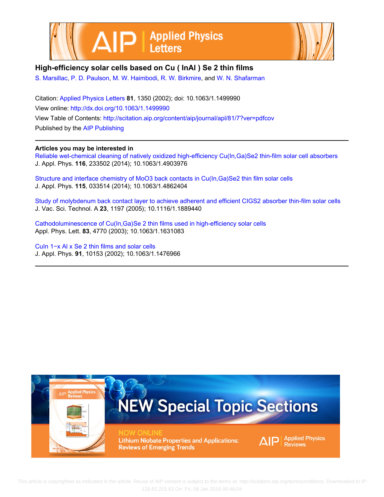



## **High-efficiency solar cells based on Cu ( InAl ) Se 2 thin films**

[S. Marsillac,](http://scitation.aip.org/search?value1=S.+Marsillac&option1=author) [P. D. Paulson](http://scitation.aip.org/search?value1=P.+D.+Paulson&option1=author), [M. W. Haimbodi,](http://scitation.aip.org/search?value1=M.+W.+Haimbodi&option1=author) [R. W. Birkmire,](http://scitation.aip.org/search?value1=R.+W.+Birkmire&option1=author) and [W. N. Shafarman](http://scitation.aip.org/search?value1=W.+N.+Shafarman&option1=author)

Citation: [Applied Physics Letters](http://scitation.aip.org/content/aip/journal/apl?ver=pdfcov) **81**, 1350 (2002); doi: 10.1063/1.1499990 View online: <http://dx.doi.org/10.1063/1.1499990> View Table of Contents: <http://scitation.aip.org/content/aip/journal/apl/81/7?ver=pdfcov> Published by the [AIP Publishing](http://scitation.aip.org/content/aip?ver=pdfcov)

#### **Articles you may be interested in**

[Reliable wet-chemical cleaning of natively oxidized high-efficiency Cu\(In,Ga\)Se2 thin-film solar cell absorbers](http://scitation.aip.org/content/aip/journal/jap/116/23/10.1063/1.4903976?ver=pdfcov) J. Appl. Phys. **116**, 233502 (2014); 10.1063/1.4903976

[Structure and interface chemistry of MoO3 back contacts in Cu\(In,Ga\)Se2 thin film solar cells](http://scitation.aip.org/content/aip/journal/jap/115/3/10.1063/1.4862404?ver=pdfcov) J. Appl. Phys. **115**, 033514 (2014); 10.1063/1.4862404

[Study of molybdenum back contact layer to achieve adherent and efficient CIGS2 absorber thin-film solar cells](http://scitation.aip.org/content/avs/journal/jvsta/23/4/10.1116/1.1889440?ver=pdfcov) J. Vac. Sci. Technol. A **23**, 1197 (2005); 10.1116/1.1889440

[Cathodoluminescence of Cu\(In,Ga\)Se 2 thin films used in high-efficiency solar cells](http://scitation.aip.org/content/aip/journal/apl/83/23/10.1063/1.1631083?ver=pdfcov) Appl. Phys. Lett. **83**, 4770 (2003); 10.1063/1.1631083

[CuIn 1−x Al x Se 2 thin films and solar cells](http://scitation.aip.org/content/aip/journal/jap/91/12/10.1063/1.1476966?ver=pdfcov) J. Appl. Phys. **91**, 10153 (2002); 10.1063/1.1476966



 This article is copyrighted as indicated in the article. Reuse of AIP content is subject to the terms at: http://scitation.aip.org/termsconditions. Downloaded to IP: 128.82.253.83 On: Fri, 08 Jan 2016 00:46:04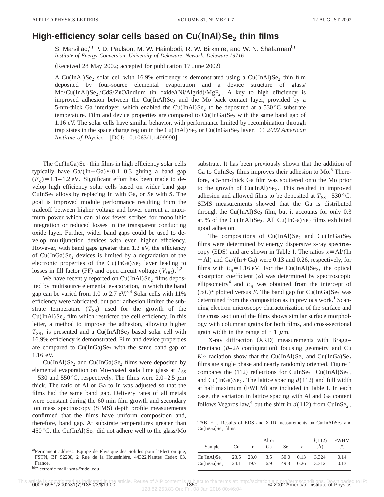### **High-efficiency solar cells based on Cu(InAl)Se<sub>2</sub> thin films**

S. Marsillac,<sup>a)</sup> P. D. Paulson, M. W. Haimbodi, R. W. Birkmire, and W. N. Shafarman<sup>b)</sup> *Institute of Energy Conversion, University of Delaware, Newark, Delaware 19716*

(Received 28 May 2002; accepted for publication 17 June 2002)

A Cu(InAl)Se<sub>2</sub> solar cell with 16.9% efficiency is demonstrated using a Cu(InAl)Se<sub>2</sub> thin film deposited by four-source elemental evaporation and a device structure of glass/  $Mo/Cu(InAl)Se<sub>2</sub>/CdS/ZnO/indium$  tin oxide/(Ni/Algrid)/MgF<sub>2</sub>. A key to high efficiency is improved adhesion between the  $Cu(InAl)Se<sub>2</sub>$  and the Mo back contact layer, provided by a 5-nm-thick Ga interlayer, which enabled the Cu(InAl)Se<sub>2</sub> to be deposited at a 530 °C substrate temperature. Film and device properties are compared to  $Cu(InGa)Se<sub>2</sub>$  with the same band gap of 1.16 eV. The solar cells have similar behavior, with performance limited by recombination through trap states in the space charge region in the Cu(InAl)Se<sub>2</sub> or Cu(InGa)Se<sub>2</sub> layer. © 2002 American *Institute of Physics.* [DOI: 10.1063/1.1499990]

The Cu(InGa)Se<sub>2</sub> thin films in high efficiency solar cells typically have  $Ga/(In+Ga) \approx 0.1 - 0.3$  giving a band gap  $(E_g)$ =1.1–1.2 eV. Significant effort has been made to develop high efficiency solar cells based on wider band gap  $CuInSe<sub>2</sub>$  alloys by replacing In with Ga, or Se with S. The goal is improved module performance resulting from the tradeoff between higher voltage and lower current at maximum power which can allow fewer scribes for monolithic integration or reduced losses in the transparent conducting oxide layer. Further, wider band gaps could be used to develop multijunction devices with even higher efficiency. However, with band gaps greater than 1.3 eV, the efficiency of  $Cu(InGa)Se<sub>2</sub>$  devices is limited by a degradation of the electronic properties of the  $Cu(InGa)Se<sub>2</sub>$  layer leading to losses in fill factor (FF) and open circuit voltage ( $V_{\text{OC}}$ ).<sup>1,2</sup>

We have recently reported on  $Cu(InAl)Se<sub>2</sub>$  films deposited by multisource elemental evaporation, in which the band gap can be varied from 1.0 to 2.7 eV.<sup>3,4</sup> Solar cells with 11% efficiency were fabricated, but poor adhesion limited the substrate temperature  $(T_{SS})$  used for the growth of the  $Cu(InAl)Se<sub>2</sub> film which restricted the cell efficiency. In this$ letter, a method to improve the adhesion, allowing higher  $T_{SS}$ , is presented and a Cu(InAl)Se<sub>2</sub> based solar cell with 16.9% efficiency is demonstrated. Film and device properties are compared to  $Cu(InGa)Se<sub>2</sub>$  with the same band gap of 1.16 eV.

 $Cu(InAl)Se<sub>2</sub>$  and  $Cu(InGa)Se<sub>2</sub>$  films were deposited by elemental evaporation on Mo-coated soda lime glass at  $T_{SS}$ = 530 and 550 °C, respectively. The films were 2.0–2.5  $\mu$ m thick. The ratio of Al or Ga to In was adjusted so that the films had the same band gap. Delivery rates of all metals were constant during the 60 min film growth and secondary ion mass spectroscopy (SIMS) depth profile measurements confirmed that the films have uniform composition and, therefore, band gap. At substrate temperatures greater than 450 °C, the Cu(InAl)Se<sub>2</sub> did not adhere well to the glass/Mo substrate. It has been previously shown that the addition of Ga to CuInSe<sub>2</sub> films improves their adhesion to Mo.<sup>5</sup> Therefore, a 5-nm-thick Ga film was sputtered onto the Mo prior to the growth of  $Cu(InAl)Se<sub>2</sub>$ . This resulted in improved adhesion and allowed films to be deposited at  $T_{SS} = 530$  °C. SIMS measurements showed that the Ga is distributed through the Cu(InAl)Se<sub>2</sub> film, but it accounts for only 0.3 at. % of the Cu(InAl)Se<sub>2</sub>. All Cu(InGa)Se<sub>2</sub> films exhibited good adhesion.

The compositions of  $Cu(InAl)Se<sub>2</sub>$  and  $Cu(InGa)Se<sub>2</sub>$ films were determined by energy dispersive x-ray spectroscopy (EDS) and are shown in Table I. The ratios  $x = A l/(In$  $+$ Al) and Ga/(In + Ga) were 0.13 and 0.26, respectively, for films with  $E<sub>g</sub>=1.16$  eV. For the Cu(InAl)Se<sub>2</sub>, the optical absorption coefficient  $(\alpha)$  was determined by spectroscopic ellipsometry<sup>4</sup> and  $E<sub>g</sub>$  was obtained from the intercept of  $(\alpha E)^2$  plotted versus *E*. The band gap for Cu(InGa)Se<sub>2</sub> was determined from the composition as in previous work.<sup>1</sup> Scanning electron microscopy characterization of the surface and the cross section of the films shows similar surface morphology with columnar grains for both films, and cross-sectional grain width in the range of  $\sim$ 1  $\mu$ m.

 $X$ -ray diffraction  $(XRD)$  measurements with Bragg– Brentano  $(\theta - 2\theta$  configuration) focusing geometry and Cu  $K\alpha$  radiation show that the Cu(InAl)Se<sub>2</sub> and Cu(InGa)Se<sub>2</sub> films are single phase and nearly randomly oriented. Figure 1 compares the  $(112)$  reflections for CuInSe<sub>2</sub>, Cu(InAl)Se<sub>2</sub>, and Cu(InGa)Se<sub>2</sub>. The lattice spacing  $d(112)$  and full width at half maximum (FWHM) are included in Table I. In each case, the variation in lattice spacing with Al and Ga content follows Vegards law,<sup>4</sup> but the shift in  $d(112)$  from CuInSe<sub>2</sub>,

TABLE I. Results of EDS and XRD measurements on  $Cu(InAl)Se<sub>2</sub>$  and  $Cu(InGa)Se<sub>2</sub>$  films.

|                         |      |           | Al or |      |               | d(112)  | <b>FWHM</b> |
|-------------------------|------|-----------|-------|------|---------------|---------|-------------|
| Sample                  | Cu   | In        | Ga    | Se   | $\mathcal{X}$ | $(\AA)$ | (°)         |
| Cu(InAl)Se <sub>2</sub> |      | 23.5 23.0 | 3.5   | 50.0 | 0.13          | 3.324   | 0.14        |
| Cu(InGa)Se <sub>2</sub> | 24.1 | 19.7      | 6.9   | 49.3 | 0.26          | 3.312   | 0.13        |

a)Permanent address: Equipe de Physique des Solides pour l'Electronique, FSTN, BP 92208, 2 Rue de la Houssinière, 44322 Nantes Cedex 03, France.

<sup>&</sup>lt;sup>b)</sup>Electronic mail: wns@udel.edu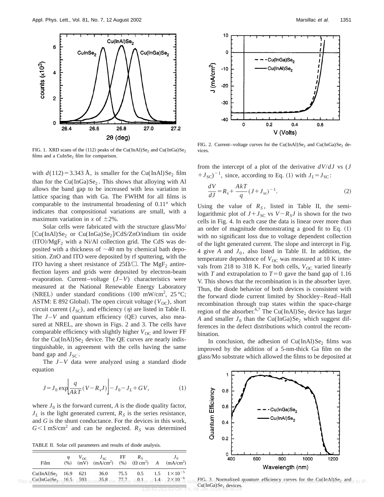

FIG. 1. XRD scans of the (112) peaks of the Cu(InAl)Se<sub>2</sub> and Cu(InGa)Se<sub>2</sub> films and a  $CulnSe<sub>2</sub> film for comparison.$ 

with  $d(112) = 3.343$  Å, is smaller for the Cu(InAl)Se<sub>2</sub> film than for the  $Cu(InGa)Se<sub>2</sub>$ . This shows that alloying with Al allows the band gap to be increased with less variation in lattice spacing than with Ga. The FWHM for all films is comparable to the instrumental broadening of 0.11° which indicates that compositional variations are small, with a maximum variation in *x* of  $\pm 2\%$ .

Solar cells were fabricated with the structure glass/Mo/  $[Cu(InAl)Se<sub>2</sub>$  or  $Cu(InGa)Se<sub>2</sub>]/CdS/ZnO/indium$  tin oxide  $(ITO)/MgF_2$  with a Ni/Al collection grid. The CdS was deposited with a thickness of  $\sim$ 40 nm by chemical bath deposition. ZnO and ITO were deposited by rf sputtering, with the ITO having a sheet resistance of  $25\Omega/\Box$ . The MgF<sub>2</sub> antireflection layers and grids were deposited by electron-beam evaporation. Current–voltage  $(J-V)$  characteristics were measured at the National Renewable Energy Laboratory (NREL) under standard conditions (100 mW/cm<sup>2</sup>, 25 °C; ASTM: E 892 Global). The open circuit voltage  $(V_{OC})$ , short circuit current  $(J_{\text{SC}})$ , and efficiency  $(\eta)$  are listed in Table II. The  $J-V$  and quantum efficiency (QE) curves, also measured at NREL, are shown in Figs. 2 and 3. The cells have comparable efficiency with slightly higher  $V_{OC}$  and lower FF for the Cu(InAl)Se<sub>2</sub> device. The QE curves are nearly indistinguishable, in agreement with the cells having the same band gap and  $J_{SC}$ .

The  $J-V$  data were analyzed using a standard diode equation

$$
J = J_0 \exp\left[\frac{q}{AkT}(V - R_s J)\right] - J_0 - J_L + GV,\tag{1}
$$

where  $J_0$  is the forward current,  $A$  is the diode quality factor,  $J_L$  is the light generated current,  $R_S$  is the series resistance, and *G* is the shunt conductance. For the devices in this work,  $G<1$  mS/cm<sup>2</sup> and can be neglected.  $R<sub>S</sub>$  was determined

TABLE II. Solar cell parameters and results of diode analysis.

| Film                                                                                               |  | $\eta$ $V_{\text{OC}}$ $J_{\text{SC}}$ FF $R_S$<br>(%) $(mV)$ $(mA/cm^2)$ (%) $(\Omega \text{ cm}^2)$ A $(mA/cm^2)$ |  | $J_0$ |
|----------------------------------------------------------------------------------------------------|--|---------------------------------------------------------------------------------------------------------------------|--|-------|
| $Cu(InAl)Se_2 16.9 621$                                                                            |  | 36.0 75.5 0.5 1.5 $1 \times 10^{-5}$                                                                                |  |       |
| is ar $\mathbb{G}$ e(InGa)Se $_{2}$ rig16ed a593dicate35;8 the a7idle. R $9$ dse of A1P c37id0( is |  |                                                                                                                     |  |       |



FIG. 2. Current–voltage curves for the Cu(InAl)Se<sub>2</sub> and Cu(InGa)Se<sub>2</sub> devices.

from the intercept of a plot of the derivative *dV*/*dJ* vs (*J*  $+J_{\text{SC}}$ <sup>-1</sup>, since, according to Eq. (1) with  $J_L = J_{\text{SC}}$ :

$$
\frac{dV}{dJ} = R_s + \frac{AkT}{q}(J + J_{sc})^{-1}.
$$
 (2)

Using the value of  $R<sub>S</sub>$ , listed in Table II, the semilogarithmic plot of  $J+J_{SC}$  vs  $V-R_SJ$  is shown for the two cells in Fig. 4. In each case the data is linear over more than an order of magnitude demonstrating a good fit to Eq.  $(1)$ with no significant loss due to voltage dependent collection of the light generated current. The slope and intercept in Fig. 4 give *A* and  $J_0$ , also listed in Table II. In addition, the temperature dependence of  $V_{OC}$  was measured at 10 K intervals from 218 to 318 K. For both cells,  $V_{OC}$  varied linearly with *T* and extrapolation to  $T=0$  gave the band gap of 1.16 V. This shows that the recombination is in the absorber layer. Thus, the diode behavior of both devices is consistent with the forward diode current limited by Shockley–Read–Hall recombination through trap states within the space-charge region of the absorber.<sup>6,7</sup> The Cu(InAl)Se<sub>2</sub> device has larger *A* and smaller  $J_0$  than the Cu(InGa)Se<sub>2</sub> which suggest differences in the defect distributions which control the recombination.

In conclusion, the adhesion of  $Cu(InAl)Se<sub>2</sub>$  films was improved by the addition of a 5-nm-thick Ga film on the glass/Mo substrate which allowed the films to be deposited at



This arcu(InGa)SegrigheEd a5%3dicate35.8 the aTtiJle. Redse of Late c3X10<sup>-6</sup> subject of the communication approximation surves for the Cu(InAl)Separadd to IP: **Cu(InGa)Se<sub>2</sub>** devices.<br>128.82.253.83 On: Fri, 08 Jan 2016 00:46:04